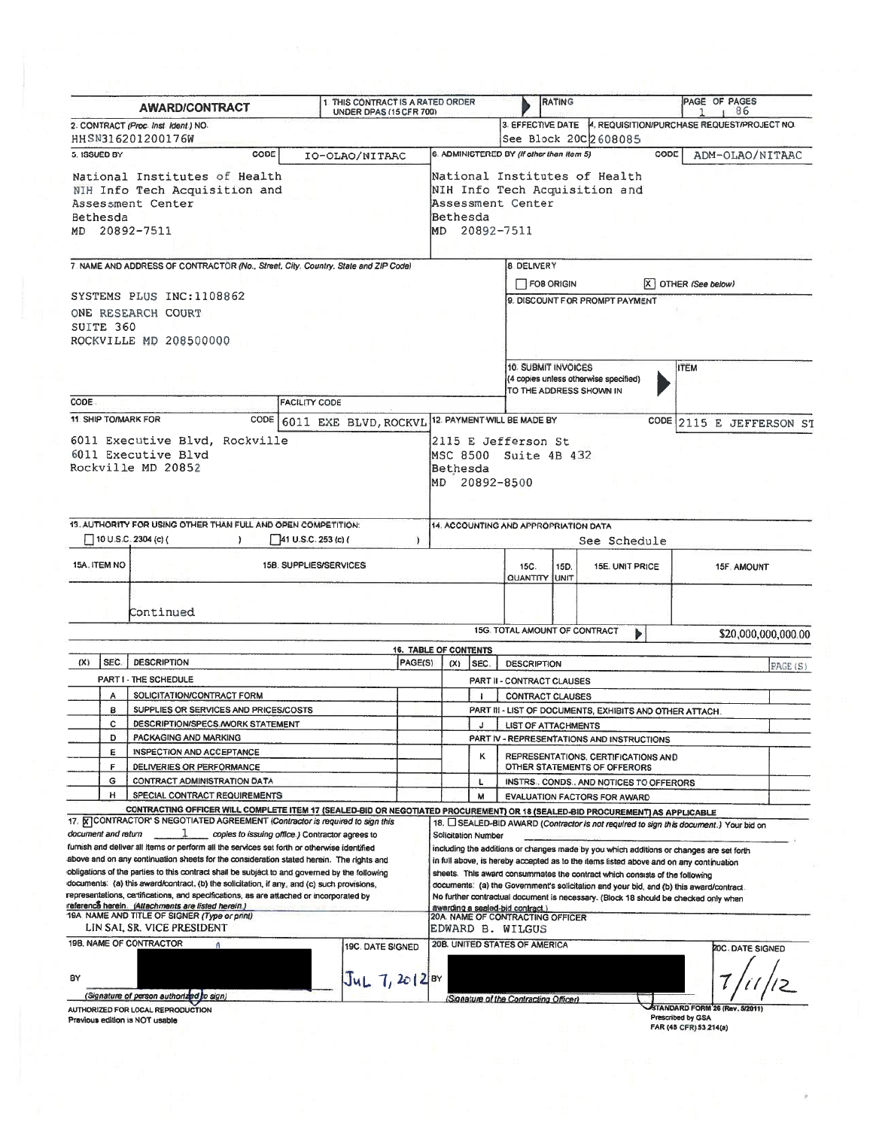|                                                                                                                                                                                                                                                                                                                                                                                                                                                                                   |                                      | 1 THIS CONTRACT IS A RATED ORDER<br><b>AWARD/CONTRACT</b><br>UNDER DPAS (15 CFR 700)                                                                                                                           |                      |         |                                                                                                                                                                                                                                                                                                                                                                                                                                                    |                                     | <b>RATING</b>                                                                                          |                                                               |                                                                                      | PAGE OF PAGES<br>86 |                     |  |
|-----------------------------------------------------------------------------------------------------------------------------------------------------------------------------------------------------------------------------------------------------------------------------------------------------------------------------------------------------------------------------------------------------------------------------------------------------------------------------------|--------------------------------------|----------------------------------------------------------------------------------------------------------------------------------------------------------------------------------------------------------------|----------------------|---------|----------------------------------------------------------------------------------------------------------------------------------------------------------------------------------------------------------------------------------------------------------------------------------------------------------------------------------------------------------------------------------------------------------------------------------------------------|-------------------------------------|--------------------------------------------------------------------------------------------------------|---------------------------------------------------------------|--------------------------------------------------------------------------------------|---------------------|---------------------|--|
|                                                                                                                                                                                                                                                                                                                                                                                                                                                                                   | 2. CONTRACT (Proc. Inst. Ident.) NO. |                                                                                                                                                                                                                |                      |         |                                                                                                                                                                                                                                                                                                                                                                                                                                                    |                                     |                                                                                                        | 3. EFFECTIVE DATE 4. REQUISITION/PURCHASE REQUEST/PROJECT NO. |                                                                                      |                     |                     |  |
|                                                                                                                                                                                                                                                                                                                                                                                                                                                                                   |                                      | HHSN316201200176W                                                                                                                                                                                              |                      |         |                                                                                                                                                                                                                                                                                                                                                                                                                                                    |                                     |                                                                                                        |                                                               | See Block 200 2608085                                                                |                     |                     |  |
| CODE<br>5. ISSUED BY<br>IO-OLAO/NITAAC                                                                                                                                                                                                                                                                                                                                                                                                                                            |                                      |                                                                                                                                                                                                                |                      |         | 6. ADMINISTERED BY (If other than Item 5)<br>CODE<br>ADM-OLAO/NITAAC                                                                                                                                                                                                                                                                                                                                                                               |                                     |                                                                                                        |                                                               |                                                                                      |                     |                     |  |
| National Institutes of Health<br>NIH Info Tech Acquisition and<br>Assessment Center<br>Bethesda<br>MD 20892-7511                                                                                                                                                                                                                                                                                                                                                                  |                                      |                                                                                                                                                                                                                |                      |         | National Institutes of Health<br>NIH Info Tech Acquisition and<br>Assessment Center<br>Bethesda<br>MD 20892-7511                                                                                                                                                                                                                                                                                                                                   |                                     |                                                                                                        |                                                               |                                                                                      |                     |                     |  |
|                                                                                                                                                                                                                                                                                                                                                                                                                                                                                   |                                      | 7. NAME AND ADDRESS OF CONTRACTOR (No., Street, City, Country, State and ZIP Code)                                                                                                                             |                      |         |                                                                                                                                                                                                                                                                                                                                                                                                                                                    |                                     | 8 DELIVERY                                                                                             |                                                               |                                                                                      |                     |                     |  |
|                                                                                                                                                                                                                                                                                                                                                                                                                                                                                   |                                      |                                                                                                                                                                                                                |                      |         |                                                                                                                                                                                                                                                                                                                                                                                                                                                    | $X$ OTHER (See below)<br>FOB ORIGIN |                                                                                                        |                                                               |                                                                                      |                     |                     |  |
|                                                                                                                                                                                                                                                                                                                                                                                                                                                                                   | SUITE 360                            | SYSTEMS PLUS INC:1108862<br>ONE RESEARCH COURT<br>ROCKVILLE MD 208500000                                                                                                                                       |                      |         |                                                                                                                                                                                                                                                                                                                                                                                                                                                    |                                     |                                                                                                        |                                                               | 9. DISCOUNT FOR PROMPT PAYMENT                                                       |                     |                     |  |
|                                                                                                                                                                                                                                                                                                                                                                                                                                                                                   |                                      |                                                                                                                                                                                                                |                      |         |                                                                                                                                                                                                                                                                                                                                                                                                                                                    |                                     | 10. SUBMIT INVOICES<br><b>ITEM</b><br>(4 copies unless otherwise specified)<br>TO THE ADDRESS SHOWN IN |                                                               |                                                                                      |                     |                     |  |
| CODE                                                                                                                                                                                                                                                                                                                                                                                                                                                                              |                                      | <b>11 SHIP TO/MARK FOR</b><br>CODE                                                                                                                                                                             | <b>FACILITY CODE</b> |         |                                                                                                                                                                                                                                                                                                                                                                                                                                                    |                                     | 12. PAYMENT WILL BE MADE BY                                                                            |                                                               |                                                                                      |                     |                     |  |
| 6011 EXE BLVD, ROCKVL<br>6011 Executive Blvd, Rockville<br>6011 Executive Blvd<br>Rockville MD 20852                                                                                                                                                                                                                                                                                                                                                                              |                                      |                                                                                                                                                                                                                |                      |         | CODE 2115 E JEFFERSON ST<br>2115 E Jefferson St<br>MSC 8500 Suite 4B 432<br>Bethesda<br>MD 20892-8500                                                                                                                                                                                                                                                                                                                                              |                                     |                                                                                                        |                                                               |                                                                                      |                     |                     |  |
| 13. AUTHORITY FOR USING OTHER THAN FULL AND OPEN COMPETITION:                                                                                                                                                                                                                                                                                                                                                                                                                     |                                      |                                                                                                                                                                                                                |                      |         | 14. ACCOUNTING AND APPROPRIATION DATA                                                                                                                                                                                                                                                                                                                                                                                                              |                                     |                                                                                                        |                                                               |                                                                                      |                     |                     |  |
|                                                                                                                                                                                                                                                                                                                                                                                                                                                                                   |                                      | 10 U.S.C. 2304 (c) (                                                                                                                                                                                           | 41 U.S.C. 253 (c) (  |         | See Schedule                                                                                                                                                                                                                                                                                                                                                                                                                                       |                                     |                                                                                                        |                                                               |                                                                                      |                     |                     |  |
| 15A. ITEM NO                                                                                                                                                                                                                                                                                                                                                                                                                                                                      |                                      | <b>15B. SUPPLIES/SERVICES</b>                                                                                                                                                                                  |                      |         |                                                                                                                                                                                                                                                                                                                                                                                                                                                    |                                     | 15C.<br><b>QUANTITY UNIT</b>                                                                           | 15D.                                                          | 15E. UNIT PRICE                                                                      | 15F. AMOUNT         |                     |  |
|                                                                                                                                                                                                                                                                                                                                                                                                                                                                                   |                                      | Continued                                                                                                                                                                                                      |                      |         |                                                                                                                                                                                                                                                                                                                                                                                                                                                    |                                     | 15G. TOTAL AMOUNT OF CONTRACT                                                                          |                                                               |                                                                                      |                     |                     |  |
|                                                                                                                                                                                                                                                                                                                                                                                                                                                                                   |                                      |                                                                                                                                                                                                                |                      |         | <b>16. TABLE OF CONTENTS</b>                                                                                                                                                                                                                                                                                                                                                                                                                       |                                     |                                                                                                        |                                                               | ь                                                                                    |                     | \$20,000,000,000.00 |  |
| (X)                                                                                                                                                                                                                                                                                                                                                                                                                                                                               | SEC.                                 | <b>DESCRIPTION</b>                                                                                                                                                                                             |                      | PAGE(S) | (X)                                                                                                                                                                                                                                                                                                                                                                                                                                                | SEC.                                | <b>DESCRIPTION</b>                                                                                     |                                                               |                                                                                      | PAGE(S)             |                     |  |
|                                                                                                                                                                                                                                                                                                                                                                                                                                                                                   |                                      | PART I - THE SCHEDULE                                                                                                                                                                                          |                      |         |                                                                                                                                                                                                                                                                                                                                                                                                                                                    |                                     | PART II - CONTRACT CLAUSES                                                                             |                                                               |                                                                                      |                     |                     |  |
|                                                                                                                                                                                                                                                                                                                                                                                                                                                                                   | Α                                    | SOLICITATION/CONTRACT FORM                                                                                                                                                                                     |                      |         |                                                                                                                                                                                                                                                                                                                                                                                                                                                    |                                     | <b>CONTRACT CLAUSES</b>                                                                                |                                                               |                                                                                      |                     |                     |  |
|                                                                                                                                                                                                                                                                                                                                                                                                                                                                                   | 8<br>c                               | SUPPLIES OR SERVICES AND PRICES/COSTS<br>DESCRIPTION/SPECS, MORK STATEMENT                                                                                                                                     |                      |         |                                                                                                                                                                                                                                                                                                                                                                                                                                                    | J                                   | PART III - LIST OF DOCUMENTS, EXHIBITS AND OTHER ATTACH.<br><b>LIST OF ATTACHMENTS</b>                 |                                                               |                                                                                      |                     |                     |  |
|                                                                                                                                                                                                                                                                                                                                                                                                                                                                                   | D                                    | PACKAGING AND MARKING                                                                                                                                                                                          |                      |         |                                                                                                                                                                                                                                                                                                                                                                                                                                                    |                                     | PART IV - REPRESENTATIONS AND INSTRUCTIONS                                                             |                                                               |                                                                                      |                     |                     |  |
|                                                                                                                                                                                                                                                                                                                                                                                                                                                                                   | E<br>F                               | INSPECTION AND ACCEPTANCE<br>DELIVERIES OR PERFORMANCE                                                                                                                                                         |                      |         |                                                                                                                                                                                                                                                                                                                                                                                                                                                    | κ                                   | REPRESENTATIONS, CERTIFICATIONS AND                                                                    |                                                               |                                                                                      |                     |                     |  |
|                                                                                                                                                                                                                                                                                                                                                                                                                                                                                   | G                                    | CONTRACT ADMINISTRATION DATA                                                                                                                                                                                   |                      |         |                                                                                                                                                                                                                                                                                                                                                                                                                                                    | ι                                   | OTHER STATEMENTS OF OFFERORS<br>INSTRS., CONDS., AND NOTICES TO OFFERORS                               |                                                               |                                                                                      |                     |                     |  |
|                                                                                                                                                                                                                                                                                                                                                                                                                                                                                   | н                                    | SPECIAL CONTRACT REQUIREMENTS                                                                                                                                                                                  |                      |         |                                                                                                                                                                                                                                                                                                                                                                                                                                                    | м                                   |                                                                                                        |                                                               | EVALUATION FACTORS FOR AWARD                                                         |                     |                     |  |
|                                                                                                                                                                                                                                                                                                                                                                                                                                                                                   |                                      | CONTRACTING OFFICER WILL COMPLETE ITEM 17 (SEALED-BID OR NEGOTIATED PROCUREMENT) OR 18 (SEALED-BID PROCUREMENT) AS APPLICABLE<br>17. K CONTRACTOR' S NEGOTIATED AGREEMENT (Contractor is required to sign this |                      |         |                                                                                                                                                                                                                                                                                                                                                                                                                                                    |                                     |                                                                                                        |                                                               | 18. SEALED-BID AWARD (Contractor is not required to sign this document.) Your bid on |                     |                     |  |
|                                                                                                                                                                                                                                                                                                                                                                                                                                                                                   | document and return                  | T<br>coples to issuing office.) Contractor agrees to                                                                                                                                                           |                      |         | Solicitation Number                                                                                                                                                                                                                                                                                                                                                                                                                                |                                     |                                                                                                        |                                                               |                                                                                      |                     |                     |  |
| furnish and deliver all items or perform all the services set forth or otherwise identified<br>above and on any continuation sheets for the consideration stated herein. The rights and<br>obligations of the parties to this contract shall be subject to and governed by the following<br>documents: (a) this award/contract, (b) the solicitation, if any, and (c) such provisions,<br>representations, certifications, and specifications, as are attached or incorporated by |                                      |                                                                                                                                                                                                                |                      |         | including the additions or changes made by you which additions or changes are set forth<br>in full above, is hereby accepted as to the items listed above and on any continuation<br>sheets. This award consummates the contract which consists of the following<br>documents: (a) the Government's solicitation and your bid, and (b) this award/contract.<br>No further contractual document is necessary. (Block 18 should be checked only when |                                     |                                                                                                        |                                                               |                                                                                      |                     |                     |  |
| reference herein. (Attachments are listed herein.)<br>19A. NAME AND TITLE OF SIGNER (Type or print)                                                                                                                                                                                                                                                                                                                                                                               |                                      |                                                                                                                                                                                                                |                      |         | awarding a sealed-bid contract.)<br>20A. NAME OF CONTRACTING OFFICER<br>EDWARD B. WILGUS                                                                                                                                                                                                                                                                                                                                                           |                                     |                                                                                                        |                                                               |                                                                                      |                     |                     |  |
| LIN SAI, SR. VICE PRESIDENT<br>19B, NAME OF CONTRACTOR<br>n.<br>19C. DATE SIGNED                                                                                                                                                                                                                                                                                                                                                                                                  |                                      |                                                                                                                                                                                                                |                      |         |                                                                                                                                                                                                                                                                                                                                                                                                                                                    |                                     | 20B. UNITED STATES OF AMERICA                                                                          |                                                               |                                                                                      | 20C. DATE SIGNED    |                     |  |
| BY                                                                                                                                                                                                                                                                                                                                                                                                                                                                                |                                      | (Signature of person authorized to sign)                                                                                                                                                                       | $JUL$ 7, 2012 BY     |         |                                                                                                                                                                                                                                                                                                                                                                                                                                                    |                                     |                                                                                                        |                                                               |                                                                                      |                     |                     |  |